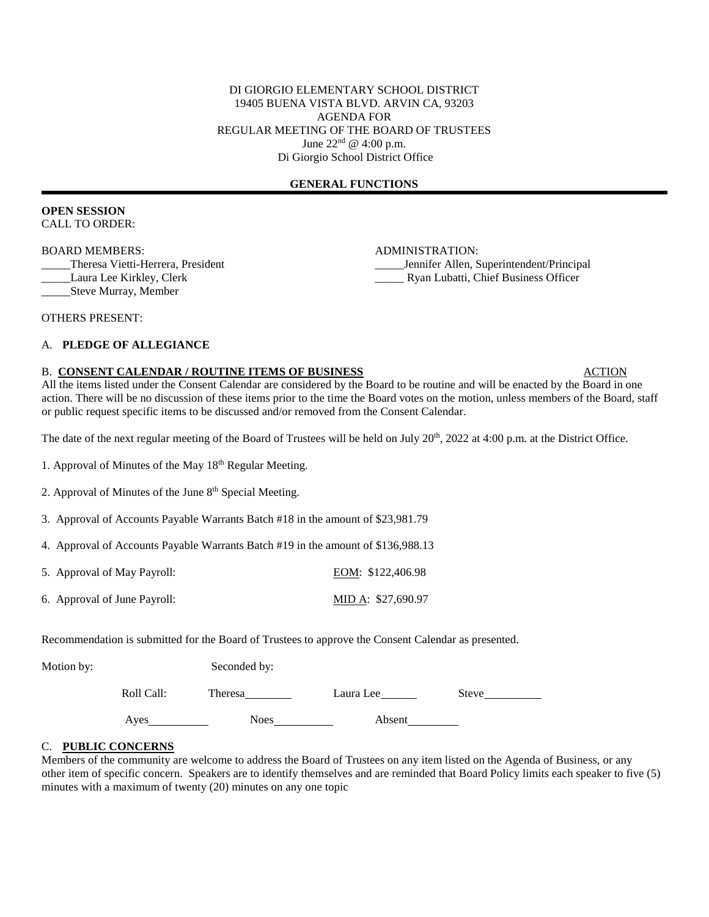## DI GIORGIO ELEMENTARY SCHOOL DISTRICT 19405 BUENA VISTA BLVD. ARVIN CA, 93203 AGENDA FOR REGULAR MEETING OF THE BOARD OF TRUSTEES June  $22^{nd} @ 4:00 \text{ p.m.}$ Di Giorgio School District Office

## **GENERAL FUNCTIONS**

## **OPEN SESSION** CALL TO ORDER:

BOARD MEMBERS: ADMINISTRATION:

\_\_\_\_\_Theresa Vietti-Herrera, President \_\_\_\_\_Jennifer Allen, Superintendent/Principal \_\_\_\_\_Laura Lee Kirkley, Clerk \_\_\_\_\_ Ryan Lubatti, Chief Business Officer

\_\_\_\_\_Steve Murray, Member

OTHERS PRESENT:

## A. **PLEDGE OF ALLEGIANCE**

## B. CONSENT CALENDAR / ROUTINE ITEMS OF BUSINESS ACTION

All the items listed under the Consent Calendar are considered by the Board to be routine and will be enacted by the Board in one action. There will be no discussion of these items prior to the time the Board votes on the motion, unless members of the Board, staff or public request specific items to be discussed and/or removed from the Consent Calendar.

The date of the next regular meeting of the Board of Trustees will be held on July  $20^{th}$ ,  $2022$  at 4:00 p.m. at the District Office.

1. Approval of Minutes of the May  $18<sup>th</sup>$  Regular Meeting.

2. Approval of Minutes of the June  $8<sup>th</sup>$  Special Meeting.

3. Approval of Accounts Payable Warrants Batch #18 in the amount of \$23,981.79

4. Approval of Accounts Payable Warrants Batch #19 in the amount of \$136,988.13

5. Approval of May Payroll: EOM: \$122,406.98

6. Approval of June Payroll: MID A: \$27,690.97

Recommendation is submitted for the Board of Trustees to approve the Consent Calendar as presented.

| Motion by: |            | Seconded by: |           |              |  |  |
|------------|------------|--------------|-----------|--------------|--|--|
|            | Roll Call: | Theresa      | Laura Lee | <b>Steve</b> |  |  |
|            | Ayes       | <b>Noes</b>  | Absent    |              |  |  |

## C. **PUBLIC CONCERNS**

Members of the community are welcome to address the Board of Trustees on any item listed on the Agenda of Business, or any other item of specific concern. Speakers are to identify themselves and are reminded that Board Policy limits each speaker to five (5) minutes with a maximum of twenty (20) minutes on any one topic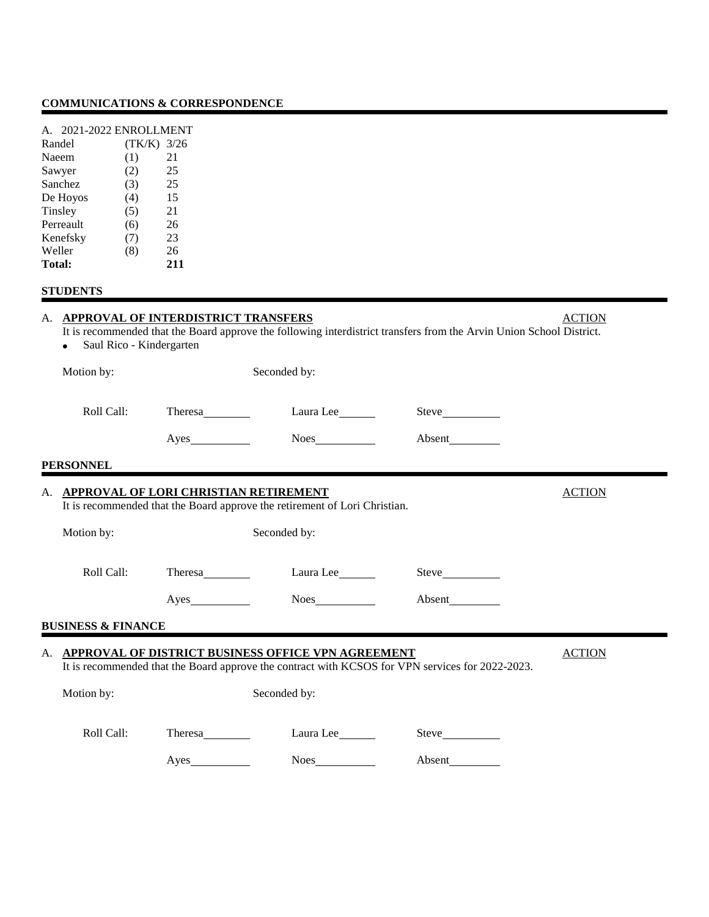# **COMMUNICATIONS & CORRESPONDENCE**

| 2021-2022 ENROLLMENT |             |     |
|----------------------|-------------|-----|
| Randel               | (TK/K) 3/26 |     |
| Naeem                | (1)         | 21  |
| Sawyer               | (2)         | 25  |
| Sanchez              | (3)         | 25  |
| De Hoyos             | (4)         | 15  |
| Tinsley              | (5)         | 21  |
| Perreault            | (6)         | 26  |
| Kenefsky             | (7)         | 23  |
| Weller               | (8)         | 26  |
| <b>Total:</b>        |             | 211 |

## **STUDENTS**

|    | A. APPROVAL OF INTERDISTRICT TRANSFERS<br>It is recommended that the Board approve the following interdistrict transfers from the Arvin Union School District.<br>Saul Rico - Kindergarten |         |                                                                                                                                                        |        | <b>ACTION</b> |  |  |
|----|--------------------------------------------------------------------------------------------------------------------------------------------------------------------------------------------|---------|--------------------------------------------------------------------------------------------------------------------------------------------------------|--------|---------------|--|--|
|    | Motion by:                                                                                                                                                                                 |         | Seconded by:                                                                                                                                           |        |               |  |  |
|    | Roll Call:                                                                                                                                                                                 |         | Laura Lee                                                                                                                                              |        |               |  |  |
|    |                                                                                                                                                                                            |         |                                                                                                                                                        |        |               |  |  |
|    | PERSONNEL                                                                                                                                                                                  |         |                                                                                                                                                        |        |               |  |  |
|    | A. APPROVAL OF LORI CHRISTIAN RETIREMENT<br><b>ACTION</b><br>It is recommended that the Board approve the retirement of Lori Christian.                                                    |         |                                                                                                                                                        |        |               |  |  |
|    | Motion by:                                                                                                                                                                                 |         | Seconded by:                                                                                                                                           |        |               |  |  |
|    | Roll Call:                                                                                                                                                                                 |         | Theresa Laura Lee                                                                                                                                      |        |               |  |  |
|    |                                                                                                                                                                                            |         |                                                                                                                                                        |        |               |  |  |
|    | <b>BUSINESS &amp; FINANCE</b>                                                                                                                                                              |         |                                                                                                                                                        |        |               |  |  |
| А. |                                                                                                                                                                                            |         | APPROVAL OF DISTRICT BUSINESS OFFICE VPN AGREEMENT<br>It is recommended that the Board approve the contract with KCSOS for VPN services for 2022-2023. |        | <b>ACTION</b> |  |  |
|    | Motion by:                                                                                                                                                                                 |         | Seconded by:                                                                                                                                           |        |               |  |  |
|    | Roll Call:                                                                                                                                                                                 | Theresa | Laura Lee                                                                                                                                              |        |               |  |  |
|    |                                                                                                                                                                                            | Ayes    |                                                                                                                                                        | Absent |               |  |  |
|    |                                                                                                                                                                                            |         |                                                                                                                                                        |        |               |  |  |